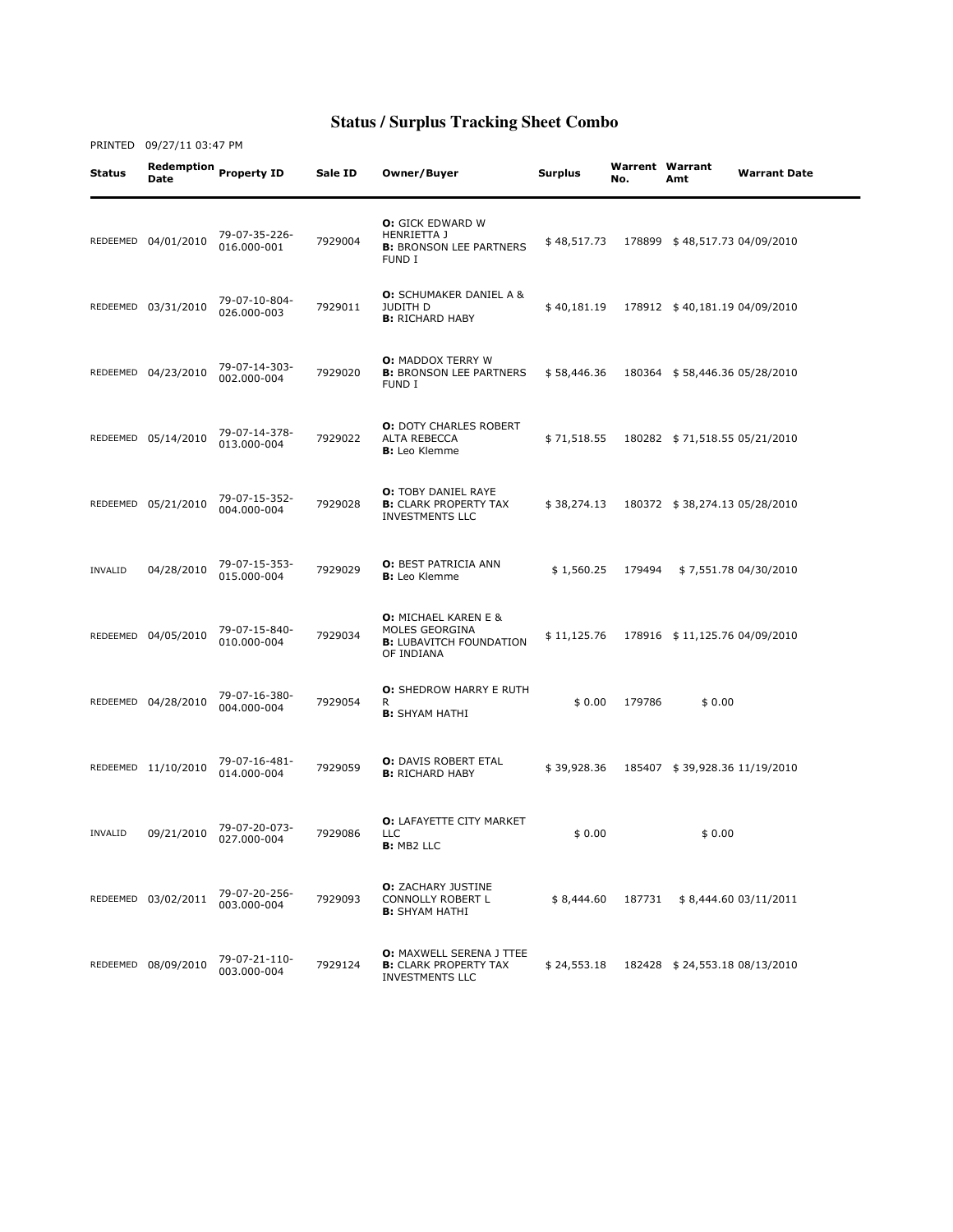| Status  | Date                | Redemption Property ID       | Sale ID | Owner/Buyer                                                                                   | <b>Surplus</b> | <b>Warrent Warrant</b><br>No. | Amt                           | <b>Warrant Date</b>   |
|---------|---------------------|------------------------------|---------|-----------------------------------------------------------------------------------------------|----------------|-------------------------------|-------------------------------|-----------------------|
|         | REDEEMED 04/01/2010 | 79-07-35-226-<br>016.000-001 | 7929004 | <b>O:</b> GICK EDWARD W<br>HENRIETTA J<br><b>B:</b> BRONSON LEE PARTNERS<br><b>FUND I</b>     | \$48,517.73    |                               | 178899 \$48,517.73 04/09/2010 |                       |
|         | REDEEMED 03/31/2010 | 79-07-10-804-<br>026.000-003 | 7929011 | <b>O:</b> SCHUMAKER DANIEL A &<br>JUDITH D<br><b>B:</b> RICHARD HABY                          | \$40,181.19    |                               | 178912 \$40,181.19 04/09/2010 |                       |
|         | REDEEMED 04/23/2010 | 79-07-14-303-<br>002.000-004 | 7929020 | <b>O: MADDOX TERRY W</b><br><b>B: BRONSON LEE PARTNERS</b><br>FUND I                          | \$58,446.36    |                               | 180364 \$58,446.36 05/28/2010 |                       |
|         | REDEEMED 05/14/2010 | 79-07-14-378-<br>013.000-004 | 7929022 | <b>O: DOTY CHARLES ROBERT</b><br>ALTA REBECCA<br><b>B:</b> Leo Klemme                         | \$71,518.55    |                               | 180282 \$71,518.55 05/21/2010 |                       |
|         | REDEEMED 05/21/2010 | 79-07-15-352-<br>004.000-004 | 7929028 | <b>O:</b> TOBY DANIEL RAYE<br><b>B:</b> CLARK PROPERTY TAX<br><b>INVESTMENTS LLC</b>          | \$38,274.13    |                               | 180372 \$38,274.13 05/28/2010 |                       |
| INVALID | 04/28/2010          | 79-07-15-353-<br>015.000-004 | 7929029 | <b>O: BEST PATRICIA ANN</b><br><b>B:</b> Leo Klemme                                           | \$1,560.25     | 179494                        |                               | \$7,551.78 04/30/2010 |
|         | REDEEMED 04/05/2010 | 79-07-15-840-<br>010.000-004 | 7929034 | <b>O:</b> MICHAEL KAREN E &<br>MOLES GEORGINA<br><b>B:</b> LUBAVITCH FOUNDATION<br>OF INDIANA | \$11,125.76    |                               | 178916 \$11,125.76 04/09/2010 |                       |
|         | REDEEMED 04/28/2010 | 79-07-16-380-<br>004.000-004 | 7929054 | <b>O:</b> SHEDROW HARRY E RUTH<br>R<br><b>B:</b> SHYAM HATHI                                  | \$0.00         | 179786                        | \$0.00                        |                       |
|         | REDEEMED 11/10/2010 | 79-07-16-481-<br>014.000-004 | 7929059 | <b>O:</b> DAVIS ROBERT ETAL<br><b>B:</b> RICHARD HABY                                         | \$39,928.36    |                               | 185407 \$39,928.36 11/19/2010 |                       |
| INVALID | 09/21/2010          | 79-07-20-073-<br>027.000-004 | 7929086 | O: LAFAYETTE CITY MARKET<br><b>LLC</b><br><b>B:</b> MB2 LLC                                   | \$0.00         |                               | \$0.00                        |                       |
|         | REDEEMED 03/02/2011 | 79-07-20-256-<br>003.000-004 | 7929093 | <b>O:</b> ZACHARY JUSTINE<br>CONNOLLY ROBERT L<br><b>B:</b> SHYAM HATHI                       | \$8,444.60     | 187731                        |                               | \$8,444.60 03/11/2011 |
|         | REDEEMED 08/09/2010 | 79-07-21-110-<br>003.000-004 | 7929124 | <b>O:</b> MAXWELL SERENA J TTEE<br><b>B:</b> CLARK PROPERTY TAX<br><b>INVESTMENTS LLC</b>     | \$24,553.18    |                               | 182428 \$24,553.18 08/13/2010 |                       |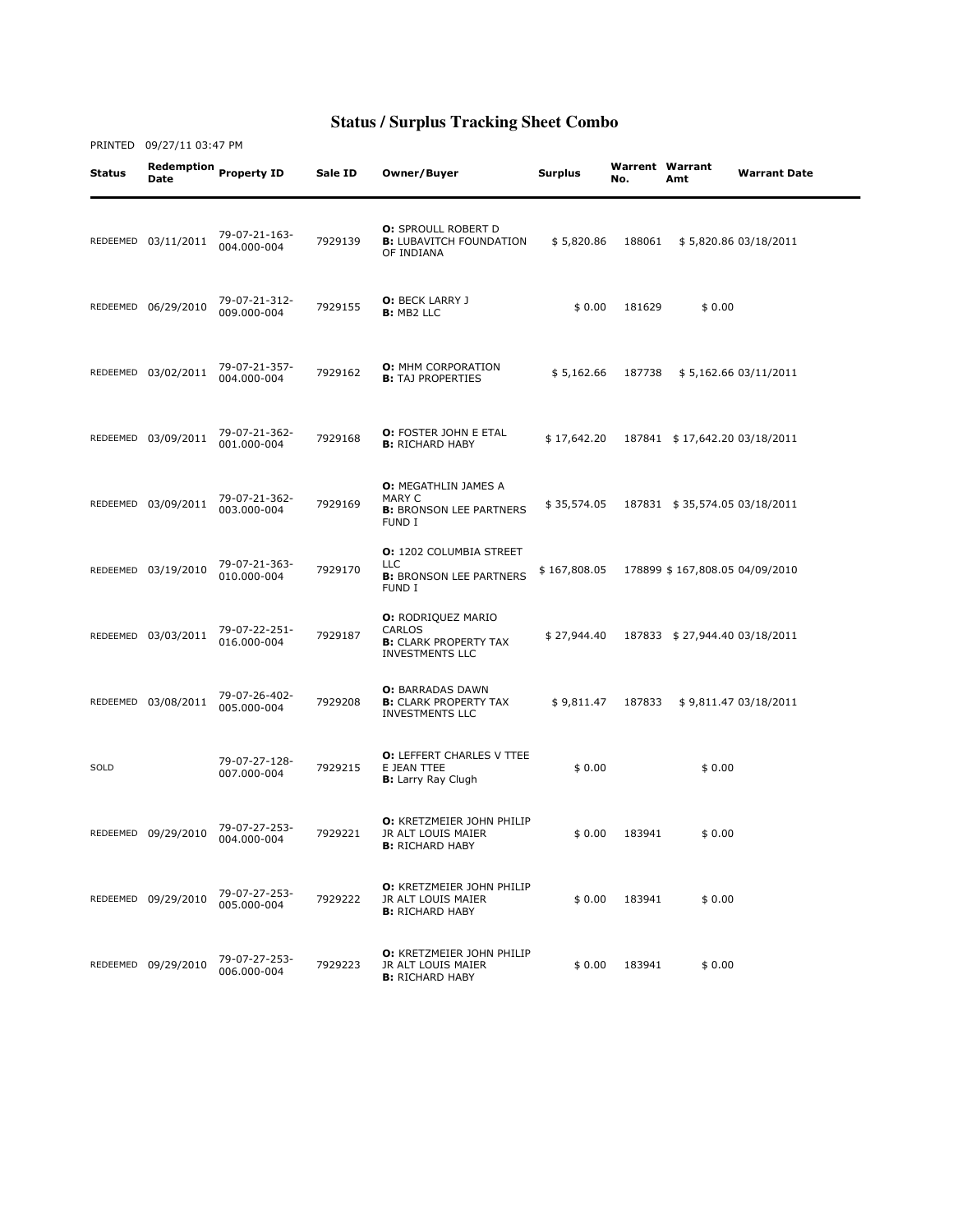Status Redemption Date Property ID Sale ID Owner/Buyer Surplus Warrent No. Warrent Warrant<br>No. Amt **Warrant Date** REDEEMED 03/11/2011 79-07-21-163-004.000-004 <sup>7929139</sup> **O: SPROULL ROBERT D B:** LUBAVITCH FOUNDATION OF INDIANA \$ 5,820.86 188061 \$ 5,820.86 03/18/2011 REDEEMED 06/29/2010 79-07-21-312- 79-07-21-312-<br>009.000-004 7929155 **D:** MB2 LLC **0:** BECK LARRY J<br>**B:** MB2 LLC \$ 0.00 181629 \$ 0.00 REDEEMED 03/02/2011 79-07-21-357- 7929162 **O: MHM CORPORATION**<br>**B:** TAJ PROPERTIES B: TAJ PROPERTIES \$ 5,162.66 187738 \$ 5,162.66 03/11/2011 REDEEMED 03/09/2011 79-07-21-362- 7929168 **O:** FOSTER JOHN E ETAL<br>**B:** RICHARD HABY B: RICHARD HABY \$ 17,642.20 187841 \$ 17,642.20 03/18/2011 REDEEMED 03/09/2011 79-07-21-362-003.000-004 <sup>7929169</sup> O: MEGATHLIN JAMES A MARY C **B: BRONSON LEE PARTNERS** FUND I \$ 35,574.05 187831 \$ 35,574.05 03/18/2011 REDEEMED 03/19/2010 79-07-21-363- 010.000-004 <sup>7929170</sup> O: 1202 COLUMBIA STREET LLC **B:** BRONSON LEE PARTNERS FUND I \$ 167,808.05 178899 \$ 167,808.05 04/09/2010 REDEEMED 03/03/2011 79-07-22-251- 016.000-004 <sup>7929187</sup> O: RODRIQUEZ MARIO CARLOS **B:** CLARK PROPERTY TAX INVESTMENTS LLC \$ 27,944.40 187833 \$ 27,944.40 03/18/2011 REDEEMED 03/08/2011 79-07-26-402- 005.000-004 <sup>7929208</sup> O: BARRADAS DAWN **B:** CLARK PROPERTY TAX INVESTMENTS LLC \$ 9,811.47 187833 \$ 9,811.47 03/18/2011 SOLD 79-07-27-128- 007.000-004 <sup>7929215</sup> O: LEFFERT CHARLES V TTEE E JEAN TTEE **B:** Larry Ray Clugh  $$0.00$   $$0.00$ REDEEMED 09/29/2010 79-07-27-253- 004.000-004 <sup>7929221</sup> O: KRETZMEIER JOHN PHILIP JR ALT LOUIS MAIER **B:** RICHARD HABY  $$0.00$  183941  $$0.00$ REDEEMED 09/29/2010 79-07-27-253-005.000-004 <sup>7929222</sup> O: KRETZMEIER JOHN PHILIP JR ALT LOUIS MAIER **B:** RICHARD HABY  $$0.00$  183941  $$0.00$ REDEEMED 09/29/2010 79-07-27-253- 79-07-27-253-<br>006.000-004 7929223 O: KRETZMEIER JOHN PHILIP JR ALT LOUIS MAIER **B:** RICHARD HABY  $$0.00$  183941 \$ 0.00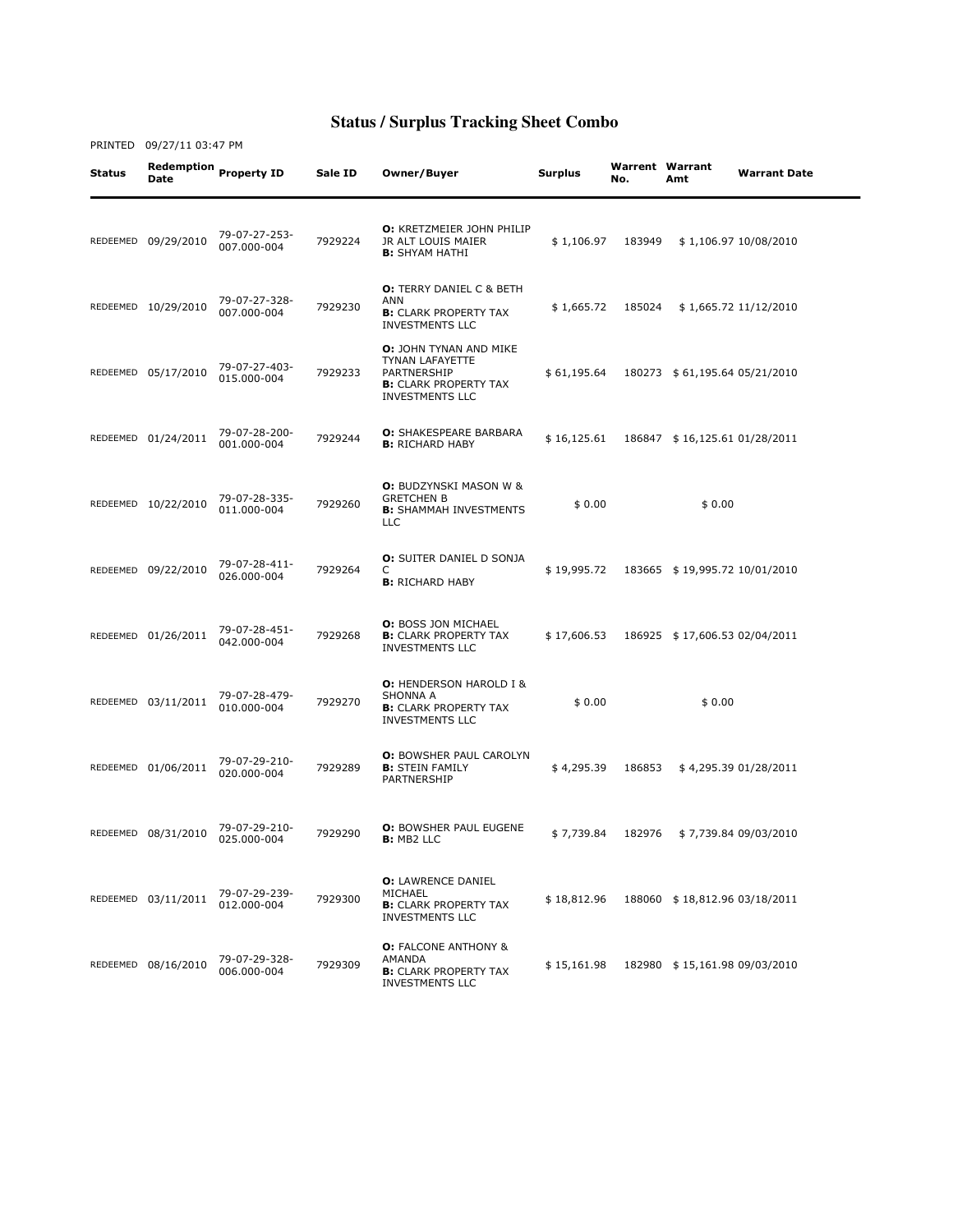| Status | Date                | Redemption Property ID       | Sale ID | Owner/Buyer                                                                                                               | Surplus     | Warrent Warrant<br>No. | Amt                           | <b>Warrant Date</b>    |
|--------|---------------------|------------------------------|---------|---------------------------------------------------------------------------------------------------------------------------|-------------|------------------------|-------------------------------|------------------------|
|        | REDEEMED 09/29/2010 | 79-07-27-253-<br>007.000-004 | 7929224 | <b>O:</b> KRETZMEIER JOHN PHILIP<br>JR ALT LOUIS MAIER<br><b>B:</b> SHYAM HATHI                                           | \$1,106.97  | 183949                 |                               | \$1,106.97 10/08/2010  |
|        | REDEEMED 10/29/2010 | 79-07-27-328-<br>007.000-004 | 7929230 | <b>O:</b> TERRY DANIEL C & BETH<br><b>ANN</b><br><b>B:</b> CLARK PROPERTY TAX<br><b>INVESTMENTS LLC</b>                   | \$1,665.72  | 185024                 |                               | \$1,665.72 11/12/2010  |
|        | REDEEMED 05/17/2010 | 79-07-27-403-<br>015.000-004 | 7929233 | O: JOHN TYNAN AND MIKE<br><b>TYNAN LAFAYETTE</b><br>PARTNERSHIP<br><b>B:</b> CLARK PROPERTY TAX<br><b>INVESTMENTS LLC</b> | \$61,195.64 | 180273                 |                               | \$61,195.64 05/21/2010 |
|        | REDEEMED 01/24/2011 | 79-07-28-200-<br>001.000-004 | 7929244 | <b>O: SHAKESPEARE BARBARA</b><br><b>B:</b> RICHARD HABY                                                                   | \$16,125.61 |                        | 186847 \$16,125.61 01/28/2011 |                        |
|        | REDEEMED 10/22/2010 | 79-07-28-335-<br>011.000-004 | 7929260 | <b>O:</b> BUDZYNSKI MASON W &<br><b>GRETCHEN B</b><br><b>B:</b> SHAMMAH INVESTMENTS<br><b>LLC</b>                         | \$0.00      |                        | \$0.00                        |                        |
|        | REDEEMED 09/22/2010 | 79-07-28-411-<br>026.000-004 | 7929264 | <b>O:</b> SUITER DANIEL D SONJA<br>C<br><b>B:</b> RICHARD HABY                                                            | \$19,995.72 |                        | 183665 \$19,995.72 10/01/2010 |                        |
|        | REDEEMED 01/26/2011 | 79-07-28-451-<br>042.000-004 | 7929268 | <b>O: BOSS JON MICHAEL</b><br><b>B:</b> CLARK PROPERTY TAX<br><b>INVESTMENTS LLC</b>                                      | \$17,606.53 |                        | 186925 \$17,606.53 02/04/2011 |                        |
|        | REDEEMED 03/11/2011 | 79-07-28-479-<br>010.000-004 | 7929270 | <b>O: HENDERSON HAROLD I &amp;</b><br><b>SHONNA A</b><br><b>B:</b> CLARK PROPERTY TAX<br><b>INVESTMENTS LLC</b>           | \$0.00      |                        | \$0.00                        |                        |
|        | REDEEMED 01/06/2011 | 79-07-29-210-<br>020.000-004 | 7929289 | <b>O: BOWSHER PAUL CAROLYN</b><br><b>B:</b> STEIN FAMILY<br>PARTNERSHIP                                                   | \$4,295.39  | 186853                 |                               | \$4,295.39 01/28/2011  |
|        | REDEEMED 08/31/2010 | 79-07-29-210-<br>025.000-004 | 7929290 | <b>O: BOWSHER PAUL EUGENE</b><br>B: MB2 LLC                                                                               | \$7,739.84  | 182976                 |                               | \$7,739.84 09/03/2010  |
|        | REDEEMED 03/11/2011 | 79-07-29-239-<br>012.000-004 | 7929300 | <b>O:</b> LAWRENCE DANIEL<br>MICHAEL<br><b>B:</b> CLARK PROPERTY TAX<br><b>INVESTMENTS LLC</b>                            | \$18,812.96 |                        | 188060 \$18,812.96 03/18/2011 |                        |
|        | REDEEMED 08/16/2010 | 79-07-29-328-<br>006.000-004 | 7929309 | <b>O:</b> FALCONE ANTHONY &<br>AMANDA<br><b>B:</b> CLARK PROPERTY TAX<br><b>INVESTMENTS LLC</b>                           | \$15,161.98 |                        | 182980 \$15,161.98 09/03/2010 |                        |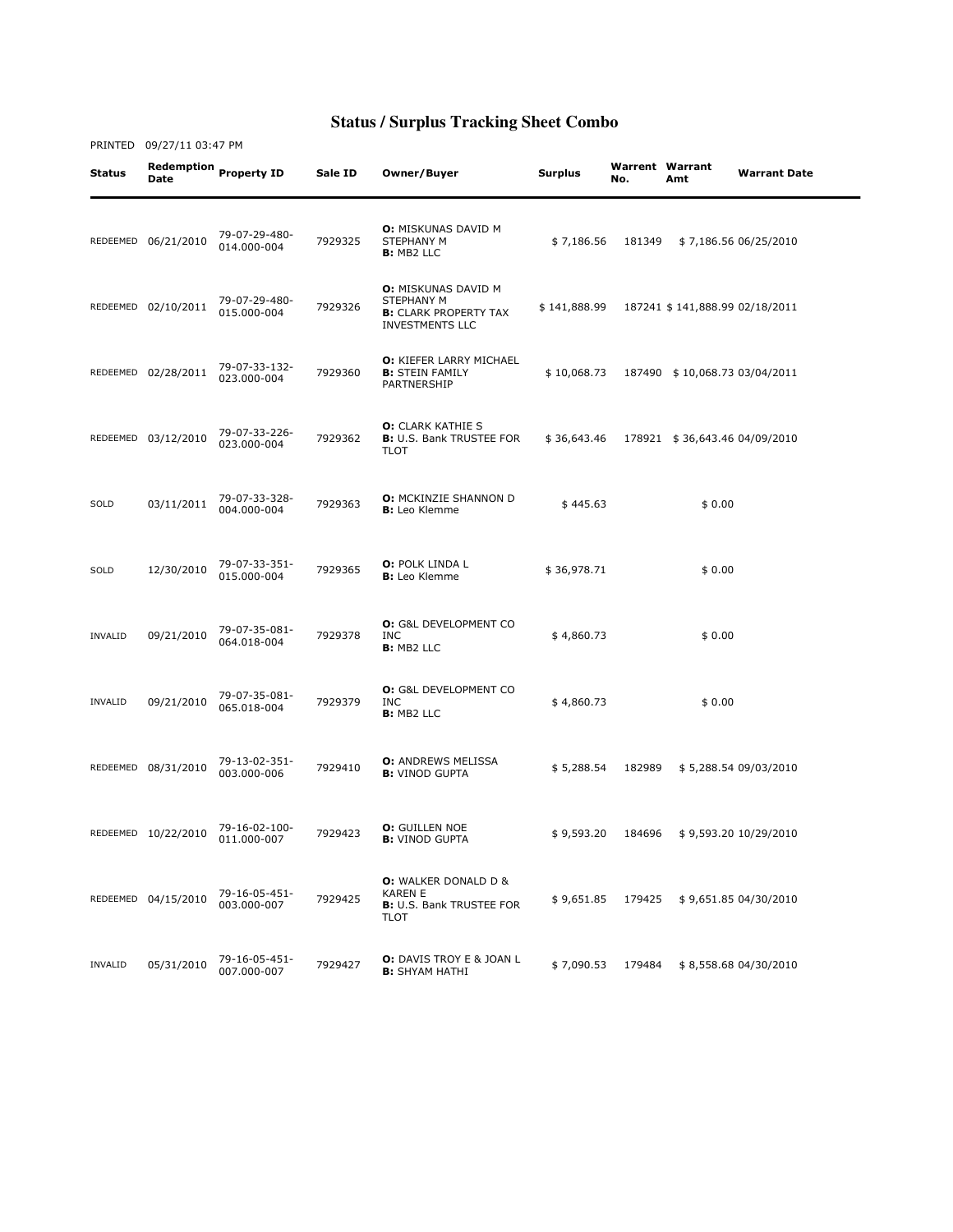Status Redemption Date Property ID Sale ID Owner/Buyer Surplus Warrent No. Warrent Warrant<br>No. Amt **Warrant Date** REDEEMED 06/21/2010 79-07-29-480- 014.000-004 <sup>7929325</sup> O: MISKUNAS DAVID M STEPHANY M B: MB2 LLC \$ 7,186.56 181349 \$ 7,186.56 06/25/2010 REDEEMED 02/10/2011 79-07-29-480- 015.000-004 <sup>7929326</sup> O: MISKUNAS DAVID M STEPHANY M **B: CLARK PROPERTY TAX** INVESTMENTS LLC \$ 141,888.99 187241 \$ 141,888.99 02/18/2011 REDEEMED 02/28/2011 79-07-33-132-79-07-33-132-<br>023.000-004 7929360 O: KIEFER LARRY MICHAEL **B: STEIN FAMILY** PARTNERSHIP \$ 10,068.73 187490 \$ 10,068.73 03/04/2011 REDEEMED 03/12/2010 79-07-33-226- 023.000-004 <sup>7929362</sup> O: CLARK KATHIE S B: U.S. Bank TRUSTEE FOR TLOT \$ 36,643.46 178921 \$ 36,643.46 04/09/2010 SOLD 03/11/2011 79-07-33-328- 7929363 **O:** MCKINZIE SHANNON D **U:** MCKINZIE SHANNON D<br> **B:** Leo Klemme  $\uparrow$  445.63  $\uparrow$  9.00 SOLD 12/30/2010 79-07-33-351- 79-07-33-351-<br>015.000-004 7929365 **B:** Leo Klemme **B:** Leo Klemme  $$36,978.71$   $$0.00$ INVALID 09/21/2010 79-07-35-081- 064.018-004 <sup>7929378</sup> O: G&L DEVELOPMENT CO INC B: MB2 LLC  $$4,860.73$   $$0.00$ INVALID 09/21/2010 79-07-35-081- 065.018-004 <sup>7929379</sup> O: G&L DEVELOPMENT CO INC B: MB2 LLC  $$4,860.73$   $$0.00$ REDEEMED 08/31/2010 79-13-02-351-7929410 **O:** ANDREWS MELISSA<br>**B:** VINOD GUPTA B: VINOD GUPTA \$ 5,288.54 182989 \$ 5,288.54 09/03/2010 REDEEMED 10/22/2010 79-16-02-100- **0:** GUILLEN NOE<br>**B:** VINOD GUPTA B: VINOD GUPTA \$ 9,593.20 184696 \$ 9,593.20 10/29/2010 REDEEMED 04/15/2010 79-16-05-451-003.000-007 <sup>7929425</sup> O: WALKER DONALD D & KAREN E B: U.S. Bank TRUSTEE FOR TLOT \$ 9,651.85 179425 \$ 9,651.85 04/30/2010 INVALID 05/31/2010 79-16-05-451- **0:** DAVIS TROY E & JOAN L<br>**B:** SHYAM HATHI B: SHYAM HATHI \$ 7,090.53 179484 \$ 8,558.68 04/30/2010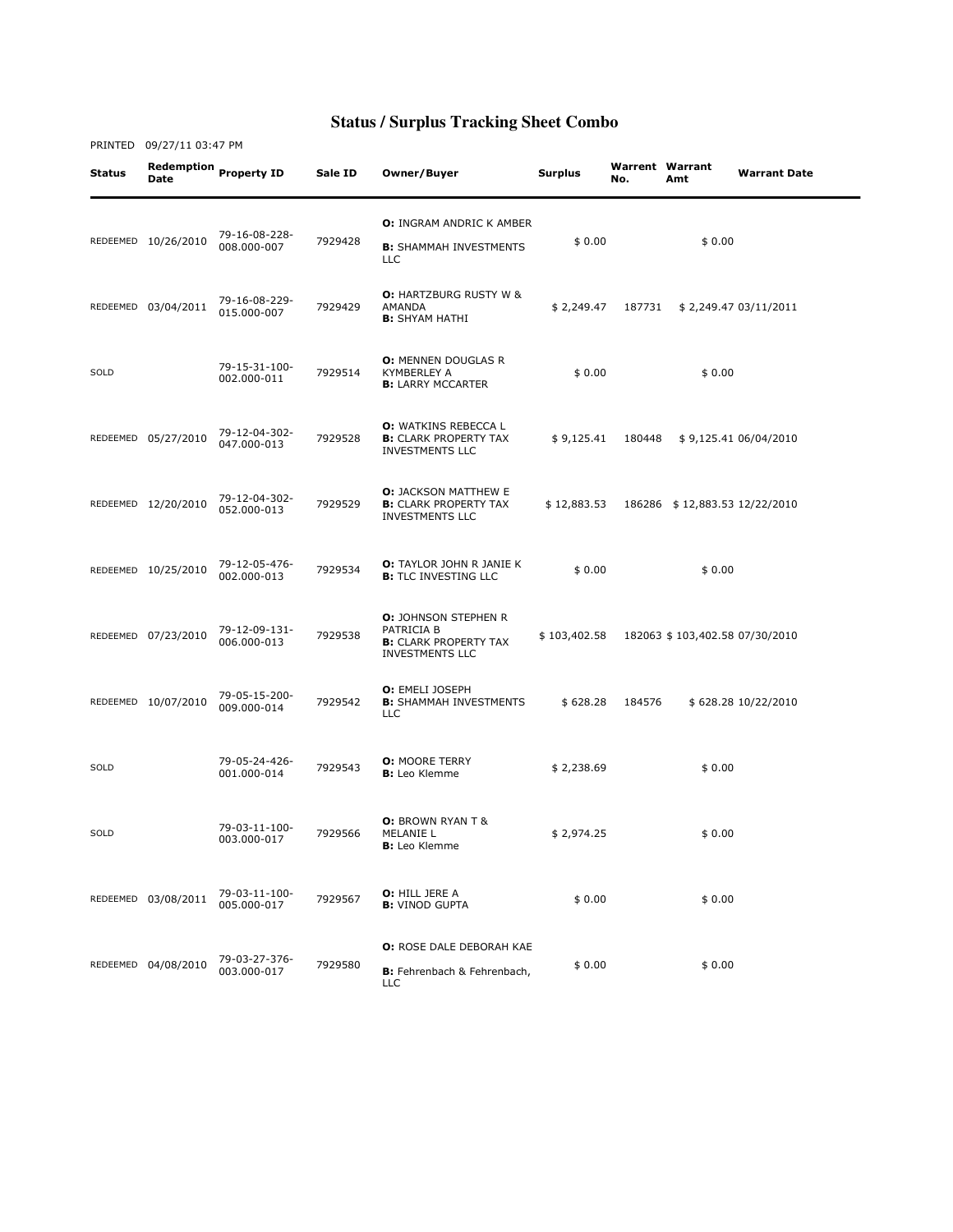| Status | <b>Date</b>         | Redemption Property ID       | Sale ID | Owner/Buyer                                                                                         | <b>Surplus</b> | No.    | <b>Warrent Warrant</b><br>Amt  | <b>Warrant Date</b>   |
|--------|---------------------|------------------------------|---------|-----------------------------------------------------------------------------------------------------|----------------|--------|--------------------------------|-----------------------|
|        | REDEEMED 10/26/2010 | 79-16-08-228-<br>008.000-007 | 7929428 | <b>O: INGRAM ANDRIC K AMBER</b><br><b>B:</b> SHAMMAH INVESTMENTS<br><b>LLC</b>                      | \$0.00         |        | \$0.00                         |                       |
|        | REDEEMED 03/04/2011 | 79-16-08-229-<br>015.000-007 | 7929429 | <b>O: HARTZBURG RUSTY W &amp;</b><br>AMANDA<br><b>B:</b> SHYAM HATHI                                | \$2,249.47     | 187731 |                                | \$2,249.47 03/11/2011 |
| SOLD   |                     | 79-15-31-100-<br>002.000-011 | 7929514 | <b>O: MENNEN DOUGLAS R</b><br><b>KYMBERLEY A</b><br><b>B:</b> LARRY MCCARTER                        | \$0.00         |        | \$0.00                         |                       |
|        | REDEEMED 05/27/2010 | 79-12-04-302-<br>047.000-013 | 7929528 | <b>O:</b> WATKINS REBECCA L<br><b>B:</b> CLARK PROPERTY TAX<br><b>INVESTMENTS LLC</b>               | \$9,125.41     | 180448 |                                | \$9,125.41 06/04/2010 |
|        | REDEEMED 12/20/2010 | 79-12-04-302-<br>052.000-013 | 7929529 | <b>O:</b> JACKSON MATTHEW E<br><b>B:</b> CLARK PROPERTY TAX<br><b>INVESTMENTS LLC</b>               | \$12,883.53    |        | 186286 \$12,883.53 12/22/2010  |                       |
|        | REDEEMED 10/25/2010 | 79-12-05-476-<br>002.000-013 | 7929534 | <b>O:</b> TAYLOR JOHN R JANIE K<br><b>B:</b> TLC INVESTING LLC                                      | \$0.00         |        | \$0.00                         |                       |
|        | REDEEMED 07/23/2010 | 79-12-09-131-<br>006.000-013 | 7929538 | <b>O:</b> JOHNSON STEPHEN R<br>PATRICIA B<br><b>B:</b> CLARK PROPERTY TAX<br><b>INVESTMENTS LLC</b> | \$103,402.58   |        | 182063 \$103,402.58 07/30/2010 |                       |
|        | REDEEMED 10/07/2010 | 79-05-15-200-<br>009.000-014 | 7929542 | <b>O:</b> EMELI JOSEPH<br><b>B:</b> SHAMMAH INVESTMENTS<br><b>LLC</b>                               | \$628.28       | 184576 |                                | \$628.28 10/22/2010   |
| SOLD   |                     | 79-05-24-426-<br>001.000-014 | 7929543 | <b>O: MOORE TERRY</b><br><b>B:</b> Leo Klemme                                                       | \$2,238.69     |        | \$0.00                         |                       |
| SOLD   |                     | 79-03-11-100-<br>003.000-017 | 7929566 | <b>O:</b> BROWN RYAN T &<br>MELANIE L<br><b>B:</b> Leo Klemme                                       | \$2,974.25     |        | \$0.00                         |                       |
|        | REDEEMED 03/08/2011 | 79-03-11-100-<br>005.000-017 | 7929567 | <b>O:</b> HILL JERE A<br><b>B:</b> VINOD GUPTA                                                      | \$0.00         |        | \$0.00                         |                       |
|        | REDEEMED 04/08/2010 | 79-03-27-376-<br>003.000-017 | 7929580 | <b>O: ROSE DALE DEBORAH KAE</b><br>B: Fehrenbach & Fehrenbach,<br><b>LLC</b>                        | \$0.00         |        | \$0.00                         |                       |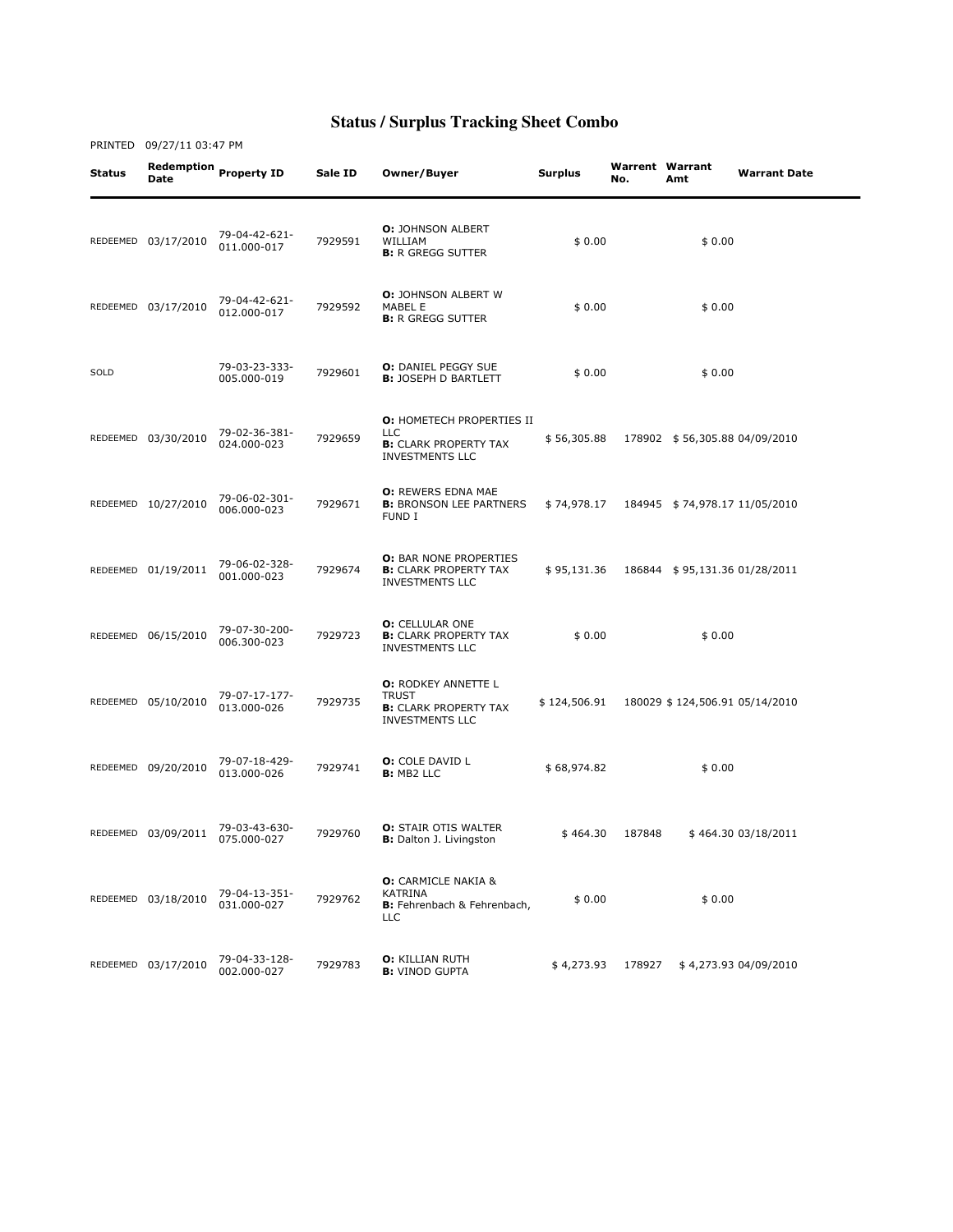| Status | <b>Date</b>         | Redemption Property ID       | Sale ID | Owner/Buyer                                                                                              | Surplus      | <b>Warrent Warrant</b><br>No. | Amt                            | <b>Warrant Date</b>   |
|--------|---------------------|------------------------------|---------|----------------------------------------------------------------------------------------------------------|--------------|-------------------------------|--------------------------------|-----------------------|
|        | REDEEMED 03/17/2010 | 79-04-42-621-<br>011.000-017 | 7929591 | <b>O:</b> JOHNSON ALBERT<br>WILLIAM<br><b>B:</b> R GREGG SUTTER                                          | \$0.00       |                               | \$0.00                         |                       |
|        | REDEEMED 03/17/2010 | 79-04-42-621-<br>012.000-017 | 7929592 | <b>O:</b> JOHNSON ALBERT W<br>MABEL E<br><b>B:</b> R GREGG SUTTER                                        | \$0.00       |                               | \$0.00                         |                       |
| SOLD   |                     | 79-03-23-333-<br>005.000-019 | 7929601 | <b>O: DANIEL PEGGY SUE</b><br><b>B: JOSEPH D BARTLETT</b>                                                | \$0.00       |                               | \$0.00                         |                       |
|        | REDEEMED 03/30/2010 | 79-02-36-381-<br>024.000-023 | 7929659 | <b>O: HOMETECH PROPERTIES II</b><br><b>LLC</b><br><b>B:</b> CLARK PROPERTY TAX<br><b>INVESTMENTS LLC</b> | \$56,305.88  |                               | 178902 \$56,305.88 04/09/2010  |                       |
|        | REDEEMED 10/27/2010 | 79-06-02-301-<br>006.000-023 | 7929671 | <b>O: REWERS EDNA MAE</b><br><b>B:</b> BRONSON LEE PARTNERS<br>FUND I                                    | \$74,978.17  |                               | 184945 \$74,978.17 11/05/2010  |                       |
|        | REDEEMED 01/19/2011 | 79-06-02-328-<br>001.000-023 | 7929674 | <b>O:</b> BAR NONE PROPERTIES<br><b>B:</b> CLARK PROPERTY TAX<br>INVESTMENTS LLC                         | \$95,131.36  |                               | 186844 \$95,131.36 01/28/2011  |                       |
|        | REDEEMED 06/15/2010 | 79-07-30-200-<br>006.300-023 | 7929723 | <b>O:</b> CELLULAR ONE<br><b>B:</b> CLARK PROPERTY TAX<br><b>INVESTMENTS LLC</b>                         | \$0.00       |                               | \$0.00                         |                       |
|        | REDEEMED 05/10/2010 | 79-07-17-177-<br>013.000-026 | 7929735 | <b>O:</b> RODKEY ANNETTE L<br><b>TRUST</b><br><b>B:</b> CLARK PROPERTY TAX<br><b>INVESTMENTS LLC</b>     | \$124,506.91 |                               | 180029 \$124,506.91 05/14/2010 |                       |
|        | REDEEMED 09/20/2010 | 79-07-18-429-<br>013.000-026 | 7929741 | <b>O:</b> COLE DAVID L<br><b>B:</b> MB2 LLC                                                              | \$68,974.82  |                               | \$0.00                         |                       |
|        | REDEEMED 03/09/2011 | 79-03-43-630-<br>075.000-027 | 7929760 | <b>O:</b> STAIR OTIS WALTER<br><b>B:</b> Dalton J. Livingston                                            | \$464.30     | 187848                        |                                | \$464.30 03/18/2011   |
|        | REDEEMED 03/18/2010 | 79-04-13-351-<br>031.000-027 | 7929762 | <b>O:</b> CARMICLE NAKIA &<br><b>KATRINA</b><br>B: Fehrenbach & Fehrenbach,<br><b>LLC</b>                | \$0.00       |                               | \$0.00                         |                       |
|        | REDEEMED 03/17/2010 | 79-04-33-128-<br>002.000-027 | 7929783 | <b>O: KILLIAN RUTH</b><br><b>B:</b> VINOD GUPTA                                                          | \$4,273.93   | 178927                        |                                | \$4,273.93 04/09/2010 |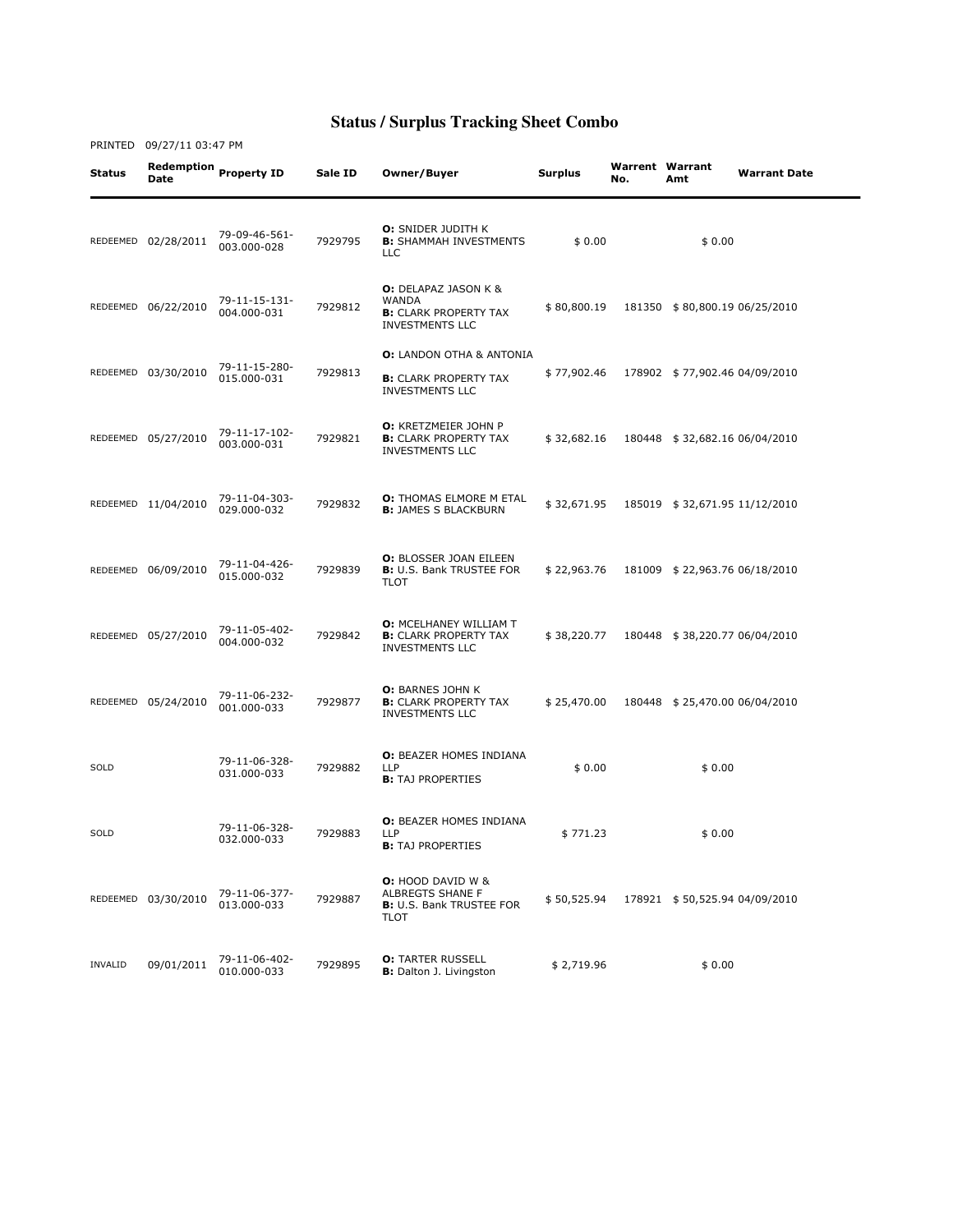Status Redemption Date Property ID Sale ID Owner/Buyer Surplus Warrent No. Warrent Warrant<br>No. Amt **Warrant Date** REDEEMED 02/28/2011 79-09-46-561-003.000-028 <sup>7929795</sup> O: SNIDER JUDITH K B: SHAMMAH INVESTMENTS LLC  $$0.00$   $$0.00$ REDEEMED 06/22/2010 79-11-15-131- 004.000-031 <sup>7929812</sup> O: DELAPAZ JASON K & WANDA **B: CLARK PROPERTY TAX** INVESTMENTS LLC \$ 80,800.19 181350 \$ 80,800.19 06/25/2010 REDEEMED 03/30/2010 79-11-15-280- 015.000-031 <sup>7929813</sup> O: LANDON OTHA & ANTONIA **B: CLARK PROPERTY TAX** INVESTMENTS LLC \$ 77,902.46 178902 \$ 77,902.46 04/09/2010 REDEEMED 05/27/2010 79-11-17-102-003.000-031 <sup>7929821</sup> O: KRETZMEIER JOHN P **B: CLARK PROPERTY TAX** INVESTMENTS LLC \$ 32,682.16 180448 \$ 32,682.16 06/04/2010 REDEEMED 11/04/2010 79-11-04-303- **0:** THOMAS ELMORE M ETAL<br>**B:** JAMES S BLACKBURN B: JAMES S BLACKBURN \$ 32,671.95 185019 \$ 32,671.95 11/12/2010 REDEEMED 06/09/2010 79-11-04-426- 015.000-032 <sup>7929839</sup> O: BLOSSER JOAN EILEEN **B:** U.S. Bank TRUSTEE FOR TLOT \$ 22,963.76 181009 \$ 22,963.76 06/18/2010 REDEEMED 05/27/2010 79-11-05-402-004.000-032 <sup>7929842</sup> O: MCELHANEY WILLIAM T **B: CLARK PROPERTY TAX** INVESTMENTS LLC \$ 38,220.77 180448 \$ 38,220.77 06/04/2010 REDEEMED 05/24/2010 79-11-06-232-001.000-033 <sup>7929877</sup> O: BARNES JOHN K **B: CLARK PROPERTY TAX** INVESTMENTS LLC \$ 25,470.00 180448 \$ 25,470.00 06/04/2010 SOLD 79-11-06-328- 031.000-033 <sup>7929882</sup> O: BEAZER HOMES INDIANA LLP **B:** TAJ PROPERTIES  $$0.00$   $$0.00$ SOLD 79-11-06-328- 032.000-033 <sup>7929883</sup> O: BEAZER HOMES INDIANA LLP **B:** TAJ PROPERTIES  $$771.23$   $$0.00$ REDEEMED 03/30/2010 79-11-06-377-013.000-033 <sup>7929887</sup> O: HOOD DAVID W & ALBREGTS SHANE F **B:** U.S. Bank TRUSTEE FOR TLOT \$ 50,525.94 178921 \$ 50,525.94 04/09/2010 INVALID 09/01/2011 79-11-06-402- 010.000-033 <sup>7929895</sup> O: TARTER RUSSELL B: Dalton J. Livingston \$ 2,719.96 \$ 0.00